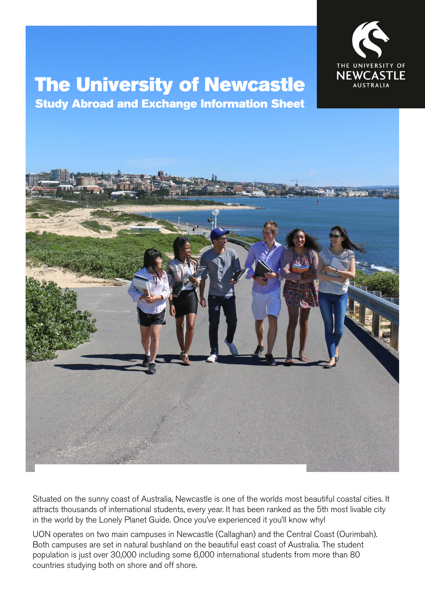

# The University of Newcastle

Study Abroad and Exchange Information Sheet



Situated on the sunny coast of Australia, Newcastle is one of the worlds most beautiful coastal cities. It attracts thousands of international students, every year. It has been ranked as the 5th most livable city in the world by the Lonely Planet Guide. Once you've experienced it you'll know why!

UON operates on two main campuses in Newcastle (Callaghan) and the Central Coast (Ourimbah). Both campuses are set in natural bushland on the beautiful east coast of Australia. The student population is just over 30,000 including some 6,000 international students from more than 80 countries studying both on shore and off shore.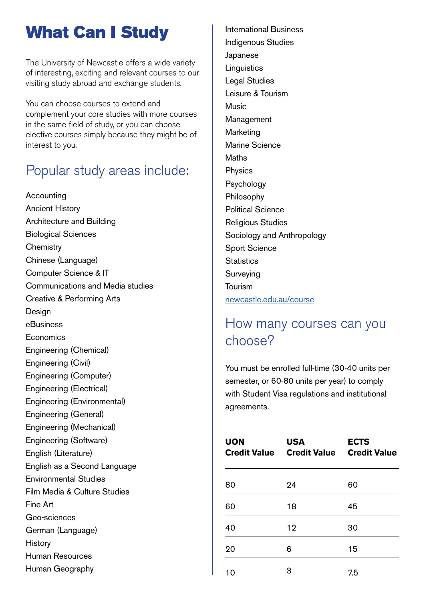## What Can I Study

The University of Newcastle offers a wide variety of interesting, exciting and relevant courses to our visiting study abroad and exchange students.

You can choose courses to extend and complement your core studies with more courses in the same field of study, or you can choose elective courses simply because they might be of interest to you.

#### Popular study areas include:

Accounting Ancient History Architecture and Building Biological Sciences **Chemistry** Chinese (Language) Computer Science & IT Communications and Media studies Creative & Performing Arts **Design** eBusiness **Economics** Engineering (Chemical) Engineering (Civil) Engineering (Computer) Engineering (Electrical) Engineering (Environmental) Engineering (General) Engineering (Mechanical) Engineering (Software) English (Literature) English as a Second Language Environmental Studies Film Media & Culture Studies Fine Art Geo-sciences German (Language) **History** Human Resources Human Geography

International Business Indigenous Studies Japanese **Linguistics** Legal Studies Leisure & Tourism **Music** Management Marketing Marine Science **Maths** Physics Psychology Philosophy Political Science Religious Studies Sociology and Anthropology Sport Science **Statistics** Surveying Tourism [newcastle.edu.au/course](http://www.newcastle.edu.au/course)

#### How many courses can you choose?

You must be enrolled full-time (30-40 units per semester, or 60-80 units per year) to comply with Student Visa regulations and institutional agreements.

| <b>UON</b> | <b>USA</b><br>Credit Value Credit Value Credit Value | <b>ECTS</b> |
|------------|------------------------------------------------------|-------------|
| 80         | 24                                                   | 60          |
| 60         | 18                                                   | 45          |
| 40         | 12                                                   | 30          |
| 20         | 6                                                    | 15          |
| 10         | 3                                                    | 7.5         |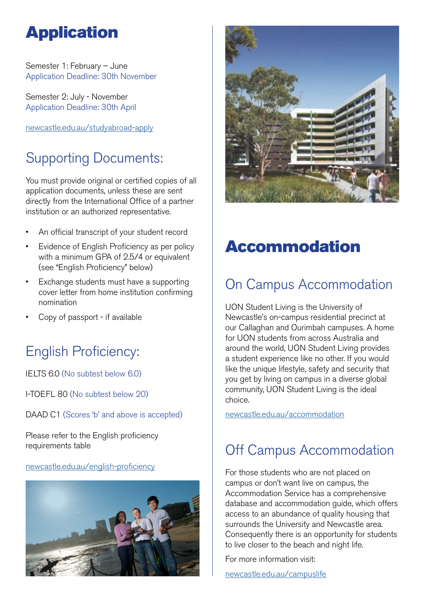## Application

Semester 1: February – June Application Deadline: 30th November

Semester 2: July - November Application Deadline: 30th April

[newcastle.edu.au/studyabroad-apply](http://www.newcastle.edu.au/international/study-with-us/study-abroad-and-exchange/apply-now)

## Supporting Documents:

You must provide original or certified copies of all application documents, unless these are sent directly from the International Office of a partner institution or an authorized representative.

- An official transcript of your student record
- Evidence of English Proficiency as per policy with a minimum GPA of 2.5/4 or equivalent (see "English Proficiency" below)
- Exchange students must have a supporting cover letter from home institution confirming nomination
- Copy of passport if available

## English Proficiency:

IELTS 6.0 (No subtest below 6.0)

I-TOEFL 80 (No subtest below 20)

DAAD C1 (Scores 'b' and above is accepted)

Please refer to the English proficiency requirements table

#### [newcastle.edu.au/english-proficiency](http://www.newcastle.edu.au/about-uon/governance-and-leadership/policy-library/document?RecordNumber=D12/79756P)





## Accommodation

## On Campus Accommodation

UON Student Living is the University of Newcastle's on-campus residential precinct at our Callaghan and Ourimbah campuses. A home for UON students from across Australia and around the world, UON Student Living provides a student experience like no other. If you would like the unique lifestyle, safety and security that you get by living on campus in a diverse global community, UON Student Living is the ideal choice.

[newcastle.edu.au/accommodation](http://www.newcastle.edu.au/future-students/study-at-uon/accommodation-options/uon-student-living/living-on-campus)

## Off Campus Accommodation

For those students who are not placed on campus or don't want live on campus, the Accommodation Service has a comprehensive database and accommodation guide, which offers access to an abundance of quality housing that surrounds the University and Newcastle area. Consequently there is an opportunity for students to live closer to the beach and night life.

For more information visit:

[newcastle.edu.au/campuslife](http://www.newcastle.edu.au/current-students/campus-environment/campus-life)